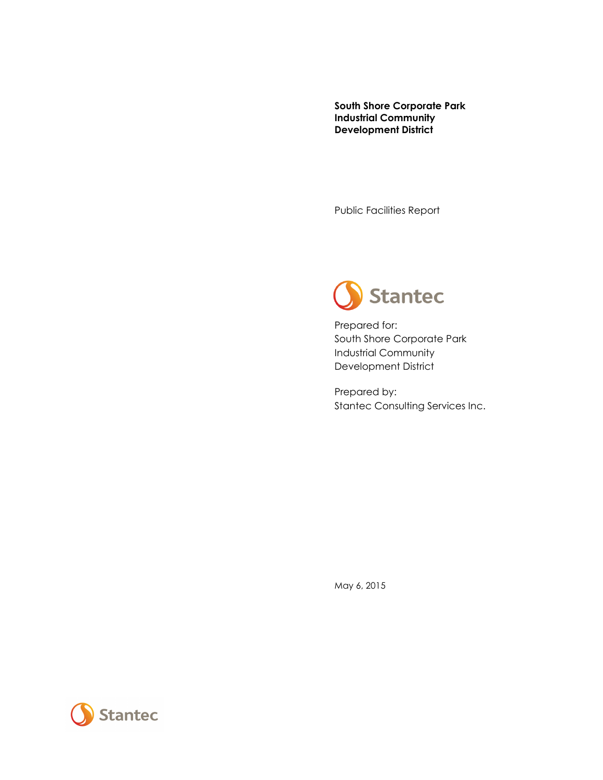**South Shore Corporate Park Industrial Community Development District**

Public Facilities Report



Prepared for: South Shore Corporate Park Industrial Community Development District

Prepared by: Stantec Consulting Services Inc.

May 6, 2015

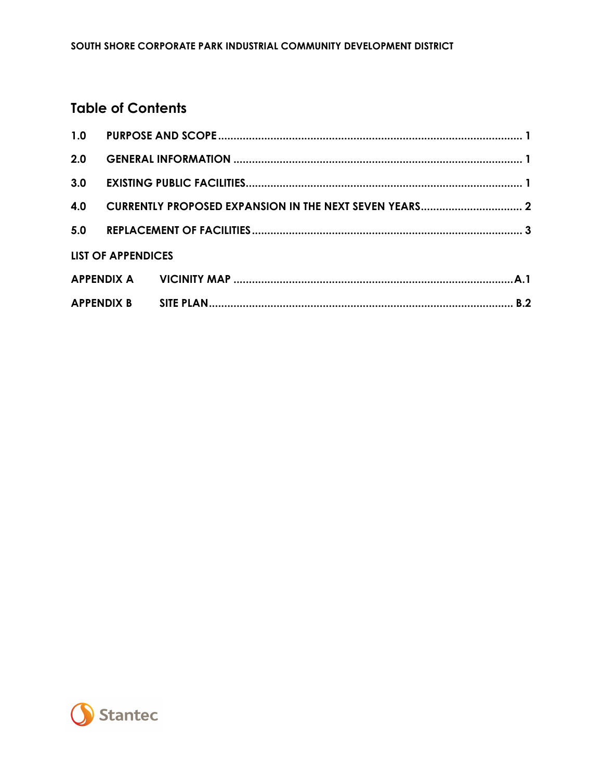### **Table of Contents**

|     | <b>LIST OF APPENDICES</b> |  |
|-----|---------------------------|--|
|     |                           |  |
| 4.0 |                           |  |
| 3.0 |                           |  |
| 2.0 |                           |  |
|     |                           |  |

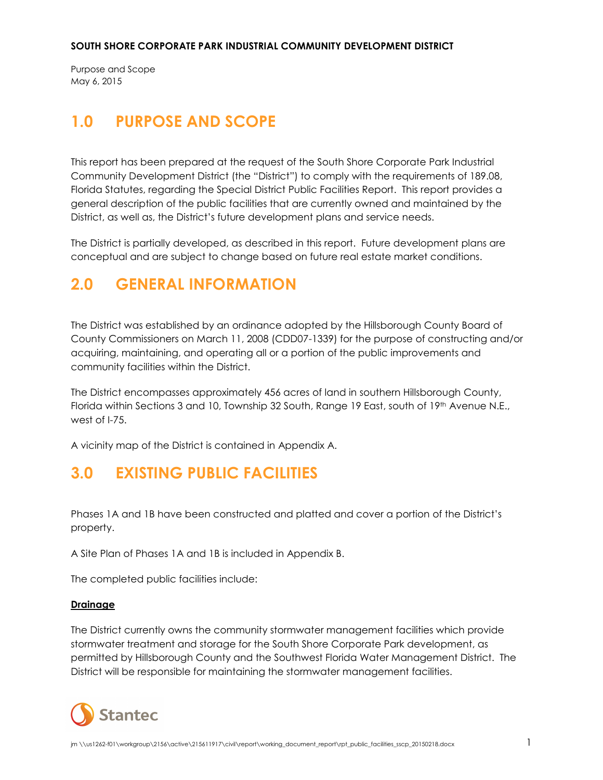Purpose and Scope May 6, 2015

# <span id="page-2-0"></span>**1.0 PURPOSE AND SCOPE**

This report has been prepared at the request of the South Shore Corporate Park Industrial Community Development District (the "District") to comply with the requirements of 189.08, Florida Statutes, regarding the Special District Public Facilities Report. This report provides a general description of the public facilities that are currently owned and maintained by the District, as well as, the District's future development plans and service needs.

The District is partially developed, as described in this report. Future development plans are conceptual and are subject to change based on future real estate market conditions.

## <span id="page-2-1"></span>**2.0 GENERAL INFORMATION**

The District was established by an ordinance adopted by the Hillsborough County Board of County Commissioners on March 11, 2008 (CDD07-1339) for the purpose of constructing and/or acquiring, maintaining, and operating all or a portion of the public improvements and community facilities within the District.

The District encompasses approximately 456 acres of land in southern Hillsborough County, Florida within Sections 3 and 10, Township 32 South, Range 19 East, south of 19th Avenue N.E., west of I-75.

A vicinity map of the District is contained in Appendix A.

### <span id="page-2-2"></span>**3.0 EXISTING PUBLIC FACILITIES**

Phases 1A and 1B have been constructed and platted and cover a portion of the District's property.

A Site Plan of Phases 1A and 1B is included in Appendix B.

The completed public facilities include:

#### **Drainage**

The District currently owns the community stormwater management facilities which provide stormwater treatment and storage for the South Shore Corporate Park development, as permitted by Hillsborough County and the Southwest Florida Water Management District. The District will be responsible for maintaining the stormwater management facilities.

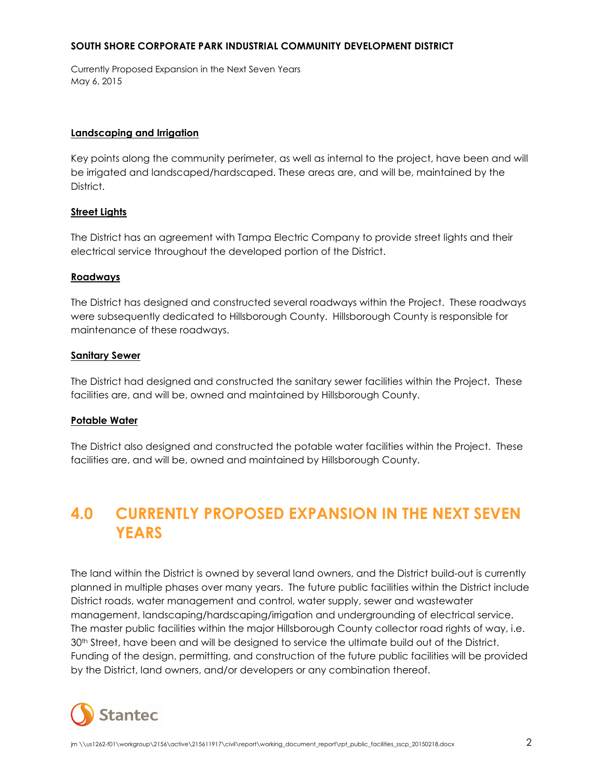Currently Proposed Expansion in the Next Seven Years May 6, 2015

#### **Landscaping and Irrigation**

Key points along the community perimeter, as well as internal to the project, have been and will be irrigated and landscaped/hardscaped. These areas are, and will be, maintained by the District.

#### **Street Lights**

The District has an agreement with Tampa Electric Company to provide street lights and their electrical service throughout the developed portion of the District.

#### **Roadways**

The District has designed and constructed several roadways within the Project. These roadways were subsequently dedicated to Hillsborough County. Hillsborough County is responsible for maintenance of these roadways.

#### **Sanitary Sewer**

The District had designed and constructed the sanitary sewer facilities within the Project. These facilities are, and will be, owned and maintained by Hillsborough County.

#### **Potable Water**

The District also designed and constructed the potable water facilities within the Project. These facilities are, and will be, owned and maintained by Hillsborough County.

# <span id="page-3-0"></span>**4.0 CURRENTLY PROPOSED EXPANSION IN THE NEXT SEVEN YEARS**

The land within the District is owned by several land owners, and the District build-out is currently planned in multiple phases over many years. The future public facilities within the District include District roads, water management and control, water supply, sewer and wastewater management, landscaping/hardscaping/irrigation and undergrounding of electrical service. The master public facilities within the major Hillsborough County collector road rights of way, i.e. 30th Street, have been and will be designed to service the ultimate build out of the District. Funding of the design, permitting, and construction of the future public facilities will be provided by the District, land owners, and/or developers or any combination thereof.

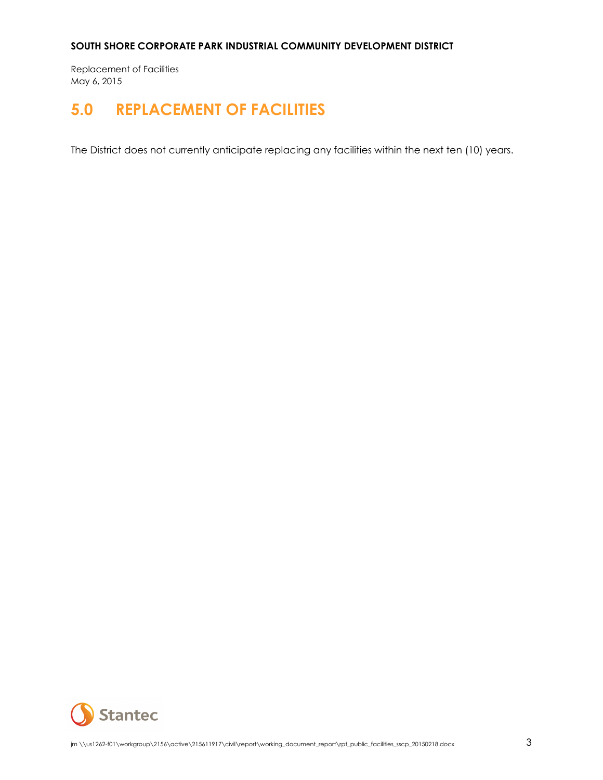Replacement of Facilities May 6, 2015

## <span id="page-4-0"></span>**5.0 REPLACEMENT OF FACILITIES**

The District does not currently anticipate replacing any facilities within the next ten (10) years.

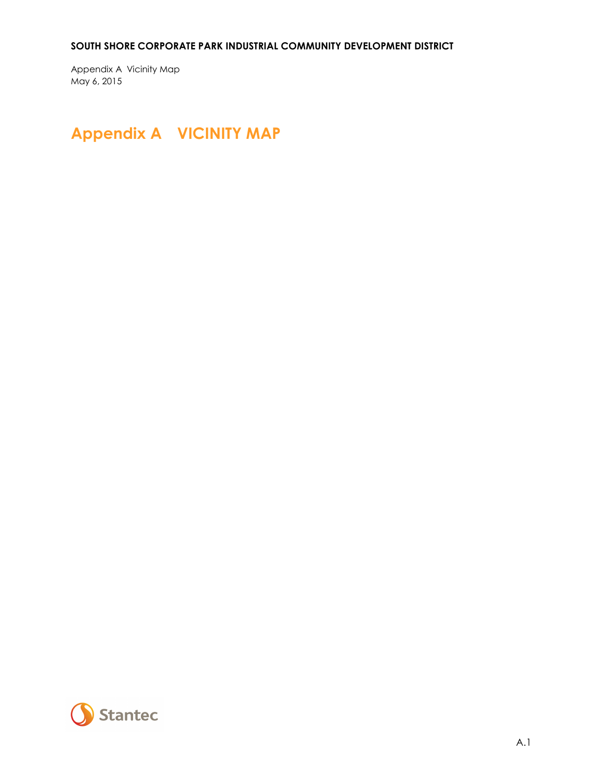Appendix A Vicinity Map May 6, 2015

# <span id="page-5-0"></span>**Appendix A VICINITY MAP**